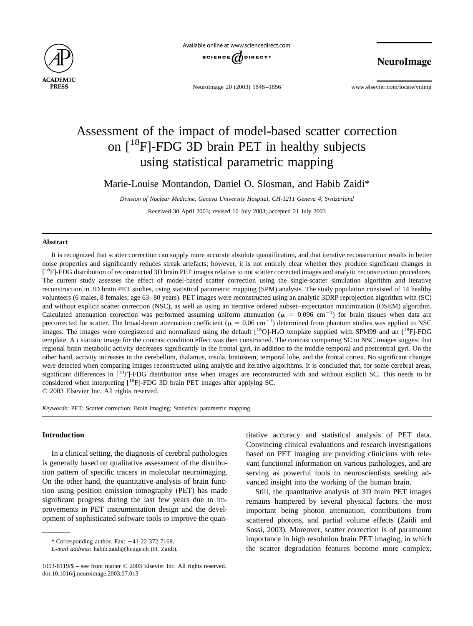



NeuroImage 20 (2003) 1848–1856 www.elsevier.com/locate/ynimg

NeuroImage

# Assessment of the impact of model-based scatter correction on  $[18F]$ -FDG 3D brain PET in healthy subjects using statistical parametric mapping

Marie-Louise Montandon, Daniel O. Slosman, and Habib Zaidi\*

*Division of Nuclear Medicine, Geneva University Hospital, CH-1211 Geneva 4, Switzerland* Received 30 April 2003; revised 10 July 2003; accepted 21 July 2003

### **Abstract**

It is recognized that scatter correction can supply more accurate absolute quantification, and that iterative reconstruction results in better noise properties and significantly reduces streak artefacts; however, it is not entirely clear whether they produce significant changes in [<sup>18</sup>F]-FDG distribution of reconstructed 3D brain PET images relative to not scatter corrected images and analytic reconstruction procedures. The current study assesses the effect of model-based scatter correction using the single-scatter simulation algorithm and iterative reconstruction in 3D brain PET studies, using statistical parametric mapping (SPM) analysis. The study population consisted of 14 healthy volunteers (6 males, 8 females; age 63–80 years). PET images were reconstructed using an analytic 3DRP reprojection algorithm with (SC) and without explicit scatter correction (NSC), as well as using an iterative ordered subset–expectation maximization (OSEM) algorithm. Calculated attenuation correction was performed assuming uniform attenuation ( $\mu = 0.096$  cm<sup>-1</sup>) for brain tissues when data are precorrected for scatter. The broad-beam attenuation coefficient ( $\mu = 0.06$  cm<sup>-1</sup>) determined from phantom studies was applied to NSC images. The images were coregistered and normalized using the default  $[{}^{15}O]$ -H<sub>2</sub>O template supplied with SPM99 and an  $[{}^{18}F]$ -FDG template. A *t* statistic image for the contrast condition effect was then constructed. The contrast comparing SC to NSC images suggest that regional brain metabolic activity decreases significantly in the frontal gyri, in addition to the middle temporal and postcentral gyri. On the other hand, activity increases in the cerebellum, thalamus, insula, brainstem, temporal lobe, and the frontal cortex. No significant changes were detected when comparing images reconstructed using analytic and iterative algorithms. It is concluded that, for some cerebral areas, significant differences in  $[{}^{18}F]$ -FDG distribution arise when images are reconstructed with and without explicit SC. This needs to be considered when interpreting  $[18F]$ -FDG 3D brain PET images after applying SC. © 2003 Elsevier Inc. All rights reserved.

*Keywords:* PET; Scatter correction; Brain imaging; Statistical parametric mapping

# **Introduction**

In a clinical setting, the diagnosis of cerebral pathologies is generally based on qualitative assessment of the distribution pattern of specific tracers in molecular neuroimaging. On the other hand, the quantitative analysis of brain function using position emission tomography (PET) has made significant progress during the last few years due to improvements in PET instrumentation design and the development of sophisticated software tools to improve the quan-

\* Corresponding author. Fax: 41-22-372-7169.

titative accuracy and statistical analysis of PET data. Convincing clinical evaluations and research investigations based on PET imaging are providing clinicians with relevant functional information on various pathologies, and are serving as powerful tools to neuroscientists seeking advanced insight into the working of the human brain.

Still, the quantitative analysis of 3D brain PET images remains hampered by several physical factors, the most important being photon attenuation, contributions from scattered photons, and partial volume effects [\(Zaidi and](#page-8-0) [Sossi, 2003\).](#page-8-0) Moreover, scatter correction is of paramount importance in high resolution brain PET imaging, in which the scatter degradation features become more complex.

*E-mail address:* habib.zaidi@hcuge.ch (H. Zaidi).

<sup>1053-8119/\$ –</sup> see front matter © 2003 Elsevier Inc. All rights reserved. doi:10.1016/j.neuroimage.2003.07.013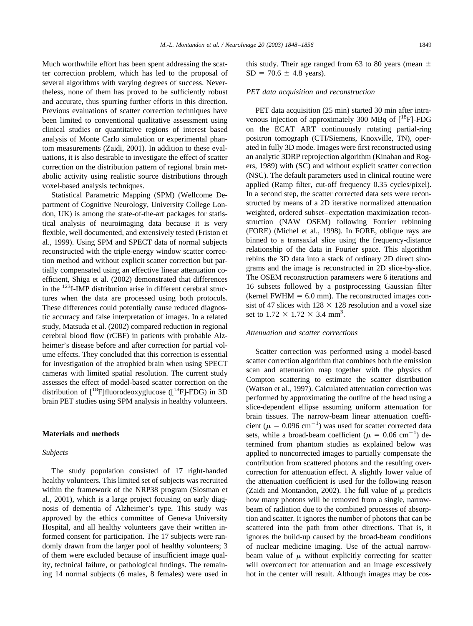Much worthwhile effort has been spent addressing the scatter correction problem, which has led to the proposal of several algorithms with varying degrees of success. Nevertheless, none of them has proved to be sufficiently robust and accurate, thus spurring further efforts in this direction. Previous evaluations of scatter correction techniques have been limited to conventional qualitative assessment using clinical studies or quantitative regions of interest based analysis of Monte Carlo simulation or experimental phantom measurements [\(Zaidi, 2001\).](#page-8-0) In addition to these evaluations, it is also desirable to investigate the effect of scatter correction on the distribution pattern of regional brain metabolic activity using realistic source distributions through voxel-based analysis techniques.

Statistical Parametric Mapping (SPM) (Wellcome Department of Cognitive Neurology, University College London, UK) is among the state-of-the-art packages for statistical analysis of neuroimaging data because it is very flexible, well documented, and extensively tested [\(Friston et](#page-7-0) [al., 1999\).](#page-7-0) Using SPM and SPECT data of normal subjects reconstructed with the triple-energy window scatter correction method and without explicit scatter correction but partially compensated using an effective linear attenuation coefficient, [Shiga et al. \(2002\)](#page-7-0) demonstrated that differences in the  $123$ I-IMP distribution arise in different cerebral structures when the data are processed using both protocols. These differences could potentially cause reduced diagnostic accuracy and false interpretation of images. In a related study, [Matsuda et al. \(2002\)](#page-7-0) compared reduction in regional cerebral blood flow (rCBF) in patients with probable Alzheimer's disease before and after correction for partial volume effects. They concluded that this correction is essential for investigation of the atrophied brain when using SPECT cameras with limited spatial resolution. The current study assesses the effect of model-based scatter correction on the distribution of  $\lceil^{18}F\rceil$ fluorodeoxyglucose ( $\lceil^{18}F\rceil$ -FDG) in 3D brain PET studies using SPM analysis in healthy volunteers.

### **Materials and methods**

#### *Subjects*

The study population consisted of 17 right-handed healthy volunteers. This limited set of subjects was recruited within the framework of the NRP38 program [\(Slosman et](#page-7-0) [al., 2001\),](#page-7-0) which is a large project focusing on early diagnosis of dementia of Alzheimer's type. This study was approved by the ethics committee of Geneva University Hospital, and all healthy volunteers gave their written informed consent for participation. The 17 subjects were randomly drawn from the larger pool of healthy volunteers; 3 of them were excluded because of insufficient image quality, technical failure, or pathological findings. The remaining 14 normal subjects (6 males, 8 females) were used in

this study. Their age ranged from 63 to 80 years (mean  $\pm$  $SD = 70.6 \pm 4.8$  years).

#### *PET data acquisition and reconstruction*

PET data acquisition (25 min) started 30 min after intravenous injection of approximately 300 MBq of  $[^{18}F]$ -FDG on the ECAT ART continuously rotating partial-ring positron tomograph (CTI/Siemens, Knoxville, TN), operated in fully 3D mode. Images were first reconstructed using an analytic 3DRP reprojection algorithm [\(Kinahan and Rog](#page-7-0)[ers, 1989\)](#page-7-0) with (SC) and without explicit scatter correction (NSC). The default parameters used in clinical routine were applied (Ramp filter, cut-off frequency 0.35 cycles/pixel). In a second step, the scatter corrected data sets were reconstructed by means of a 2D iterative normalized attenuation weighted, ordered subset–expectation maximization reconstruction (NAW OSEM) following Fourier rebinning (FORE) [\(Michel et al., 1998\).](#page-7-0) In FORE, oblique rays are binned to a transaxial slice using the frequency-distance relationship of the data in Fourier space. This algorithm rebins the 3D data into a stack of ordinary 2D direct sinograms and the image is reconstructed in 2D slice-by-slice. The OSEM reconstruction parameters were 6 iterations and 16 subsets followed by a postprocessing Gaussian filter (kernel FWHM  $= 6.0$  mm). The reconstructed images consist of 47 slices with  $128 \times 128$  resolution and a voxel size set to  $1.72 \times 1.72 \times 3.4$  mm<sup>3</sup>.

# *Attenuation and scatter corrections*

Scatter correction was performed using a model-based scatter correction algorithm that combines both the emission scan and attenuation map together with the physics of Compton scattering to estimate the scatter distribution [\(Watson et al., 1997\).](#page-8-0) Calculated attenuation correction was performed by approximating the outline of the head using a slice-dependent ellipse assuming uniform attenuation for brain tissues. The narrow-beam linear attenuation coefficient ( $\mu = 0.096$  cm<sup>-1</sup>) was used for scatter corrected data sets, while a broad-beam coefficient ( $\mu = 0.06$  cm<sup>-1</sup>) determined from phantom studies as explained below was applied to noncorrected images to partially compensate the contribution from scattered photons and the resulting overcorrection for attenuation effect. A slightly lower value of the attenuation coefficient is used for the following reason [\(Zaidi and Montandon, 2002\).](#page-8-0) The full value of  $\mu$  predicts how many photons will be removed from a single, narrowbeam of radiation due to the combined processes of absorption and scatter. It ignores the number of photons that can be scattered into the path from other directions. That is, it ignores the build-up caused by the broad-beam conditions of nuclear medicine imaging. Use of the actual narrowbeam value of  $\mu$  without explicitly correcting for scatter will overcorrect for attenuation and an image excessively hot in the center will result. Although images may be cos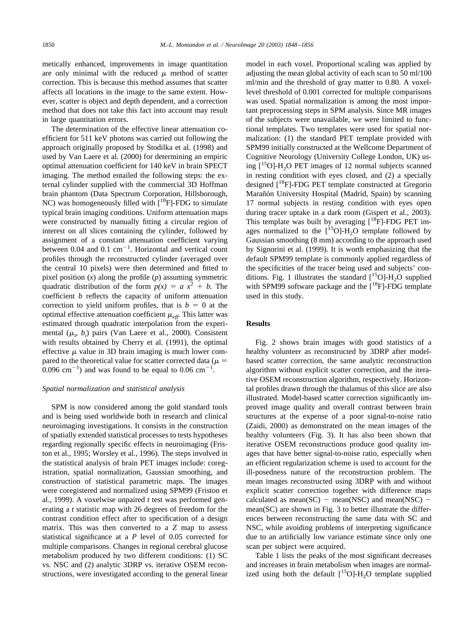metically enhanced, improvements in image quantitation are only minimal with the reduced  $\mu$  method of scatter correction. This is because this method assumes that scatter affects all locations in the image to the same extent. However, scatter is object and depth dependent, and a correction method that does not take this fact into account may result in large quantitation errors.

The determination of the effective linear attenuation coefficient for 511 keV photons was carried out following the approach originally proposed by [Stodilka et al. \(1998\)](#page-7-0) and used by [Van Laere et al. \(2000\)](#page-7-0) for determining an empiric optimal attenuation coefficient for 140 keV in brain SPECT imaging. The method entailed the following steps: the external cylinder supplied with the commercial 3D Hoffman brain phantom (Data Spectrum Corporation, Hillsborough, NC) was homogeneously filled with  $[^{18}F]$ -FDG to simulate typical brain imaging conditions. Uniform attenuation maps were constructed by manually fitting a circular region of interest on all slices containing the cylinder, followed by assignment of a constant attenuation coefficient varying between  $0.04$  and  $0.1 \text{ cm}^{-1}$ . Horizontal and vertical count profiles through the reconstructed cylinder (averaged over the central 10 pixels) were then determined and fitted to pixel position (*x*) along the profile (*p*) assuming symmetric quadratic distribution of the form  $p(x) = a x^2 + b$ . The coefficient *b* reflects the capacity of uniform attenuation correction to yield uniform profiles, that is  $b = 0$  at the optimal effective attenuation coefficient  $\mu_{\text{eff}}$ . This latter was estimated through quadratic interpolation from the experimental ( $\mu_i$ ,  $b_i$ ) pairs [\(Van Laere et al., 2000\).](#page-7-0) Consistent with results obtained by [Cherry et al. \(1991\),](#page-7-0) the optimal effective  $\mu$  value in 3D brain imaging is much lower compared to the theoretical value for scatter corrected data ( $\mu$  =  $(0.096 \text{ cm}^{-1})$  and was found to be equal to 0.06 cm<sup>-1</sup>.

# *Spatial normalization and statistical analysis*

SPM is now considered among the gold standard tools and is being used worldwide both in research and clinical neuroimaging investigations. It consists in the construction of spatially extended statistical processes to tests hypotheses regarding regionally specific effects in neuroimaging [\(Fris](#page-7-0)[ton et al., 1995; Worsley et al., 1996\).](#page-7-0) The steps involved in the statistical analysis of brain PET images include: coregistration, spatial normalization, Gaussian smoothing, and construction of statistical parametric maps. The images were coregistered and normalized using SPM99 [\(Friston et](#page-7-0) [al., 1999\).](#page-7-0) A voxelwise unpaired *t* test was performed generating a *t* statistic map with 26 degrees of freedom for the contrast condition effect after to specification of a design matrix. This was then converted to a *Z* map to assess statistical significance at a *P* level of 0.05 corrected for multiple comparisons. Changes in regional cerebral glucose metabolism produced by two different conditions: (1) SC vs. NSC and (2) analytic 3DRP vs. iterative OSEM reconstructions, were investigated according to the general linear model in each voxel. Proportional scaling was applied by adjusting the mean global activity of each scan to 50 ml/100 ml/min and the threshold of gray matter to 0.80. A voxellevel threshold of 0.001 corrected for multiple comparisons was used. Spatial normalization is among the most important preprocessing steps in SPM analysis. Since MR images of the subjects were unavailable, we were limited to functional templates. Two templates were used for spatial normalization: (1) the standard PET template provided with SPM99 initially constructed at the Wellcome Department of Cognitive Neurology (University College London, UK) using  $[15O]-H<sub>2</sub>O$  PET images of 12 normal subjects scanned in resting condition with eyes closed, and (2) a specially designed  $[$ <sup>18</sup>F]-FDG PET template constructed at Gregorio Marañón University Hospital (Madrid, Spain) by scanning 17 normal subjects in resting condition with eyes open during tracer uptake in a dark room [\(Gispert et al., 2003\).](#page-7-0) This template was built by averaging  $[$ <sup>18</sup>F]-FDG PET images normalized to the  $[$ <sup>15</sup>O]-H<sub>2</sub>O template followed by Gaussian smoothing (8 mm) according to the approach used by [Signorini et al. \(1999\).](#page-7-0) It is worth emphasizing that the default SPM99 template is commonly applied regardless of the specificities of the tracer being used and subjects' con-ditions. [Fig. 1](#page-3-0) illustrates the standard  $[{}^{15}O]$ -H<sub>2</sub>O supplied with SPM99 software package and the  $[{}^{18}F]$ -FDG template used in this study.

#### **Results**

[Fig. 2](#page-4-0) shows brain images with good statistics of a healthy volunteer as reconstructed by 3DRP after modelbased scatter correction, the same analytic reconstruction algorithm without explicit scatter correction, and the iterative OSEM reconstruction algorithm, respectively. Horizontal profiles drawn through the thalamus of this slice are also illustrated. Model-based scatter correction significantly improved image quality and overall contrast between brain structures at the expense of a poor signal-to-noise ratio [\(Zaidi, 2000\)](#page-8-0) as demonstrated on the mean images of the healthy volunteers [\(Fig. 3\)](#page-5-0). It has also been shown that iterative OSEM reconstructions produce good quality images that have better signal-to-noise ratio, especially when an efficient regularization scheme is used to account for the ill-posedness nature of the reconstruction problem. The mean images reconstructed using 3DRP with and without explicit scatter correction together with difference maps calculated as mean( $SC$ ) – mean(NSC) and mean(NSC) – mean(SC) are shown in [Fig. 3](#page-5-0) to better illustrate the differences between reconstructing the same data with SC and NSC, while avoiding problems of interpreting significance due to an artificially low variance estimate since only one scan per subject were acquired.

[Table 1](#page-6-0) lists the peaks of the most significant decreases and increases in brain metabolism when images are normalized using both the default  $[{}^{15}O]$ -H<sub>2</sub>O template supplied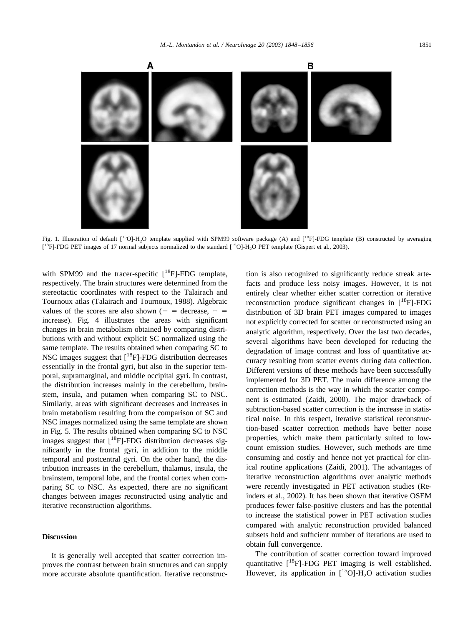<span id="page-3-0"></span>

Fig. 1. Illustration of default [<sup>15</sup>O]-H<sub>2</sub>O template supplied with SPM99 software package (A) and [<sup>18</sup>F]-FDG template (B) constructed by averaging  $[{}^{18}F]$ -FDG PET images of 17 normal subjects normalized to the standard  $[{}^{15}O]$ -H<sub>2</sub>O PET template [\(Gispert et al., 2003\).](#page-7-0)

with SPM99 and the tracer-specific  $[$ <sup>18</sup>F]-FDG template, respectively. The brain structures were determined from the stereotactic coordinates with respect to the Talairach and Tournoux atlas [\(Talairach and Tournoux, 1988\).](#page-7-0) Algebraic values of the scores are also shown ( $-$  = decrease,  $+$  = increase). [Fig. 4](#page-6-0) illustrates the areas with significant changes in brain metabolism obtained by comparing distributions with and without explicit SC normalized using the same template. The results obtained when comparing SC to NSC images suggest that  $[$ <sup>18</sup>F]-FDG distribution decreases essentially in the frontal gyri, but also in the superior temporal, supramarginal, and middle occipital gyri. In contrast, the distribution increases mainly in the cerebellum, brainstem, insula, and putamen when comparing SC to NSC. Similarly, areas with significant decreases and increases in brain metabolism resulting from the comparison of SC and NSC images normalized using the same template are shown in [Fig. 5.](#page-7-0) The results obtained when comparing SC to NSC images suggest that  $[$ <sup>18</sup>F]-FDG distribution decreases significantly in the frontal gyri, in addition to the middle temporal and postcentral gyri. On the other hand, the distribution increases in the cerebellum, thalamus, insula, the brainstem, temporal lobe, and the frontal cortex when comparing SC to NSC. As expected, there are no significant changes between images reconstructed using analytic and iterative reconstruction algorithms.

### **Discussion**

It is generally well accepted that scatter correction improves the contrast between brain structures and can supply more accurate absolute quantification. Iterative reconstruction is also recognized to significantly reduce streak artefacts and produce less noisy images. However, it is not entirely clear whether either scatter correction or iterative reconstruction produce significant changes in  $[$ <sup>18</sup>F]-FDG distribution of 3D brain PET images compared to images not explicitly corrected for scatter or reconstructed using an analytic algorithm, respectively. Over the last two decades, several algorithms have been developed for reducing the degradation of image contrast and loss of quantitative accuracy resulting from scatter events during data collection. Different versions of these methods have been successfully implemented for 3D PET. The main difference among the correction methods is the way in which the scatter component is estimated [\(Zaidi, 2000\).](#page-8-0) The major drawback of subtraction-based scatter correction is the increase in statistical noise. In this respect, iterative statistical reconstruction-based scatter correction methods have better noise properties, which make them particularly suited to lowcount emission studies. However, such methods are time consuming and costly and hence not yet practical for clinical routine applications [\(Zaidi, 2001\).](#page-8-0) The advantages of iterative reconstruction algorithms over analytic methods were recently investigated in PET activation studies [\(Re](#page-7-0)[inders et al., 2002\).](#page-7-0) It has been shown that iterative OSEM produces fewer false-positive clusters and has the potential to increase the statistical power in PET activation studies compared with analytic reconstruction provided balanced subsets hold and sufficient number of iterations are used to obtain full convergence.

The contribution of scatter correction toward improved quantitative  $[18F]$ -FDG PET imaging is well established. However, its application in  $[{}^{15}O]$ -H<sub>2</sub>O activation studies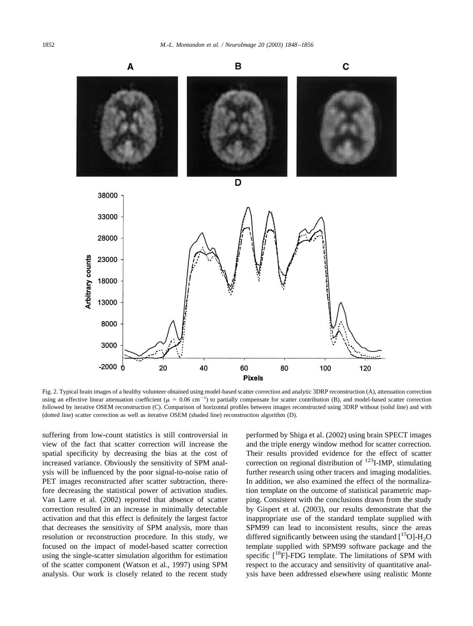<span id="page-4-0"></span>

Fig. 2. Typical brain images of a healthy volunteer obtained using model-based scatter correction and analytic 3DRP reconstruction (A), attenuation correction using an effective linear attenuation coefficient ( $\mu = 0.06$  cm<sup>-1</sup>) to partially compensate for scatter contribution (B), and model-based scatter correction followed by iterative OSEM reconstruction (C). Comparison of horizontal profiles between images reconstructed using 3DRP without (solid line) and with (dotted line) scatter correction as well as iterative OSEM (shaded line) reconstruction algorithm (D).

suffering from low-count statistics is still controversial in view of the fact that scatter correction will increase the spatial specificity by decreasing the bias at the cost of increased variance. Obviously the sensitivity of SPM analysis will be influenced by the poor signal-to-noise ratio of PET images reconstructed after scatter subtraction, therefore decreasing the statistical power of activation studies. [Van Laere et al. \(2002\)](#page-8-0) reported that absence of scatter correction resulted in an increase in minimally detectable activation and that this effect is definitely the largest factor that decreases the sensitivity of SPM analysis, more than resolution or reconstruction procedure. In this study, we focused on the impact of model-based scatter correction using the single-scatter simulation algorithm for estimation of the scatter component [\(Watson et al., 1997\)](#page-8-0) using SPM analysis. Our work is closely related to the recent study

performed by [Shiga et al. \(2002\)](#page-7-0) using brain SPECT images and the triple energy window method for scatter correction. Their results provided evidence for the effect of scatter correction on regional distribution of  $^{123}$ I-IMP, stimulating further research using other tracers and imaging modalities. In addition, we also examined the effect of the normalization template on the outcome of statistical parametric mapping. Consistent with the conclusions drawn from the study by [Gispert et al. \(2003\),](#page-7-0) our results demonstrate that the inappropriate use of the standard template supplied with SPM99 can lead to inconsistent results, since the areas differed significantly between using the standard  $[{}^{15}O]$ -H<sub>2</sub>O template supplied with SPM99 software package and the specific  $[$ <sup>18</sup>F]-FDG template. The limitations of SPM with respect to the accuracy and sensitivity of quantitative analysis have been addressed elsewhere using realistic Monte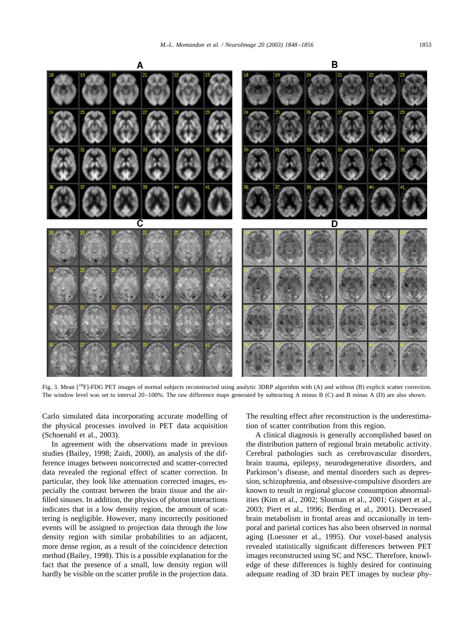<span id="page-5-0"></span>

Fig. 3. Mean  $[{}^{18}F]$ -FDG PET images of normal subjects reconstructed using analytic 3DRP algorithm with (A) and without (B) explicit scatter correction. The window level was set to interval 20–100%. The raw difference maps generated by subtracting A minus B (C) and B minus A (D) are also shown.

Carlo simulated data incorporating accurate modelling of the physical processes involved in PET data acquisition [\(Schoenahl et al., 2003\).](#page-7-0)

In agreement with the observations made in previous studies [\(Bailey, 1998; Zaidi, 2000\),](#page-7-0) an analysis of the difference images between noncorrected and scatter-corrected data revealed the regional effect of scatter correction. In particular, they look like attenuation corrected images, especially the contrast between the brain tissue and the airfilled sinuses. In addition, the physics of photon interactions indicates that in a low density region, the amount of scattering is negligible. However, many incorrectly positioned events will be assigned to projection data through the low density region with similar probabilities to an adjacent, more dense region, as a result of the coincidence detection method [\(Bailey, 1998\).](#page-7-0) This is a possible explanation for the fact that the presence of a small, low density region will hardly be visible on the scatter profile in the projection data.

The resulting effect after reconstruction is the underestimation of scatter contribution from this region.

A clinical diagnosis is generally accomplished based on the distribution pattern of regional brain metabolic activity. Cerebral pathologies such as cerebrovascular disorders, brain trauma, epilepsy, neurodegenerative disorders, and Parkinson's disease, and mental disorders such as depression, schizophrenia, and obsessive-compulsive disorders are known to result in regional glucose consumption abnormalities [\(Kim et al., 2002; Slosman et al., 2001; Gispert et al.,](#page-7-0) [2003; Piert et al., 1996; Berding et al., 2001\).](#page-7-0) Decreased brain metabolism in frontal areas and occasionally in temporal and parietal cortices has also been observed in normal aging [\(Loessner et al., 1995\).](#page-7-0) Our voxel-based analysis revealed statistically significant differences between PET images reconstructed using SC and NSC. Therefore, knowledge of these differences is highly desired for continuing adequate reading of 3D brain PET images by nuclear phy-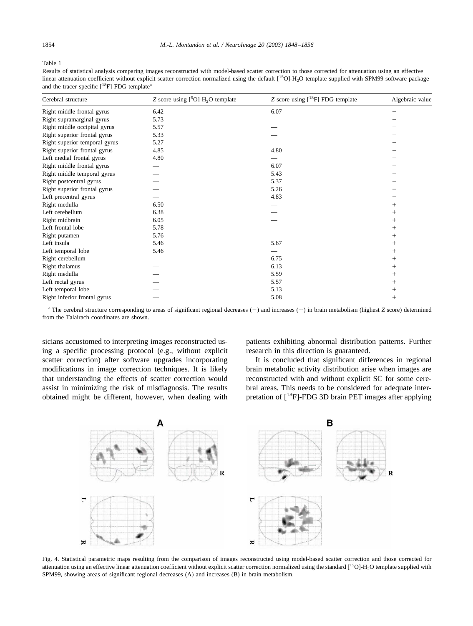#### <span id="page-6-0"></span>Table 1

Results of statistical analysis comparing images reconstructed with model-based scatter correction to those corrected for attenuation using an effective linear attenuation coefficient without explicit scatter correction normalized using the default [<sup>15</sup>O]-H<sub>2</sub>O template supplied with SPM99 software package and the tracer-specific  $[18F]$ -FDG template<sup>a</sup>

| Cerebral structure            | Z score using $[5O]-H_2O$ template | Z score using [ <sup>18</sup> F]-FDG template | Algebraic value |
|-------------------------------|------------------------------------|-----------------------------------------------|-----------------|
| Right middle frontal gyrus    | 6.42                               | 6.07                                          |                 |
| Right supramarginal gyrus     | 5.73                               |                                               |                 |
| Right middle occipital gyrus  | 5.57                               |                                               |                 |
| Right superior frontal gyrus  | 5.33                               |                                               |                 |
| Right superior temporal gyrus | 5.27                               |                                               |                 |
| Right superior frontal gyrus  | 4.85                               | 4.80                                          |                 |
| Left medial frontal gyrus     | 4.80                               |                                               |                 |
| Right middle frontal gyrus    |                                    | 6.07                                          |                 |
| Right middle temporal gyrus   |                                    | 5.43                                          |                 |
| Right postcentral gyrus       |                                    | 5.37                                          |                 |
| Right superior frontal gyrus  |                                    | 5.26                                          |                 |
| Left precentral gyrus         |                                    | 4.83                                          |                 |
| Right medulla                 | 6.50                               |                                               | $^+$            |
| Left cerebellum               | 6.38                               |                                               | $^+$            |
| Right midbrain                | 6.05                               |                                               | $^+$            |
| Left frontal lobe             | 5.78                               |                                               | $^{+}$          |
| Right putamen                 | 5.76                               |                                               | $^+$            |
| Left insula                   | 5.46                               | 5.67                                          | $^+$            |
| Left temporal lobe            | 5.46                               |                                               | $^+$            |
| Right cerebellum              |                                    | 6.75                                          | $^+$            |
| Right thalamus                |                                    | 6.13                                          | $^+$            |
| Right medulla                 |                                    | 5.59                                          | $^+$            |
| Left rectal gyrus             |                                    | 5.57                                          | $^{+}$          |
| Left temporal lobe            |                                    | 5.13                                          | $^+$            |
| Right inferior frontal gyrus  |                                    | 5.08                                          | $^+$            |

<sup>a</sup> The cerebral structure corresponding to areas of significant regional decreases (-) and increases (+) in brain metabolism (highest *Z* score) determined from the Talairach coordinates are shown.

sicians accustomed to interpreting images reconstructed using a specific processing protocol (e.g., without explicit scatter correction) after software upgrades incorporating modifications in image correction techniques. It is likely that understanding the effects of scatter correction would assist in minimizing the risk of misdiagnosis. The results obtained might be different, however, when dealing with patients exhibiting abnormal distribution patterns. Further research in this direction is guaranteed.

It is concluded that significant differences in regional brain metabolic activity distribution arise when images are reconstructed with and without explicit SC for some cerebral areas. This needs to be considered for adequate interpretation of  $[{}^{18}F]$ -FDG 3D brain PET images after applying



Fig. 4. Statistical parametric maps resulting from the comparison of images reconstructed using model-based scatter correction and those corrected for attenuation using an effective linear attenuation coefficient without explicit scatter correction normalized using the standard  $[1<sup>5</sup>O]$ -H<sub>2</sub>O template supplied with SPM99, showing areas of significant regional decreases (A) and increases (B) in brain metabolism.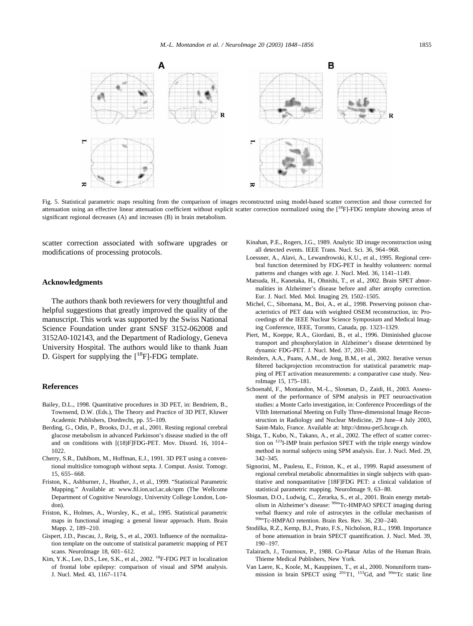<span id="page-7-0"></span>

Fig. 5. Statistical parametric maps resulting from the comparison of images reconstructed using model-based scatter correction and those corrected for attenuation using an effective linear attenuation coefficient without explicit scatter correction normalized using the [<sup>18</sup>F]-FDG template showing areas of significant regional decreases (A) and increases (B) in brain metabolism.

scatter correction associated with software upgrades or modifications of processing protocols.

# **Acknowledgments**

The authors thank both reviewers for very thoughtful and helpful suggestions that greatly improved the quality of the manuscript. This work was supported by the Swiss National Science Foundation under grant SNSF 3152-062008 and 3152A0-102143, and the Department of Radiology, Geneva University Hospital. The authors would like to thank Juan D. Gispert for supplying the  $[$ <sup>18</sup>F]-FDG template.

#### **References**

- Bailey, D.L., 1998. Quantitative procedures in 3D PET, in: Bendriem, B., Townsend, D.W. (Eds.), The Theory and Practice of 3D PET, Kluwer Academic Publishers, Dordrecht, pp. 55–109.
- Berding, G., Odin, P., Brooks, D.J., et al., 2001. Resting regional cerebral glucose metabolism in advanced Parkinson's disease studied in the off and on conditions with [(18)F]FDG-PET. Mov. Disord. 16, 1014– 1022.
- Cherry, S.R., Dahlbom, M., Hoffman, E.J., 1991. 3D PET using a conventional multislice tomograph without septa. J. Comput. Assist. Tomogr. 15, 655–668.
- Friston, K., Ashburner, J., Heather, J., et al., 1999. "Statistical Parametric Mapping." Available at:<www.fil.ion.ucl.ac.uk/spm> (The Wellcome Department of Cognitive Neurology, University College London, London).
- Friston, K., Holmes, A., Worsley, K., et al., 1995. Statistical parametric maps in functional imaging: a general linear approach. Hum. Brain Mapp. 2, 189–210.
- Gispert, J.D., Pascau, J., Reig, S., et al., 2003. Influence of the normalization template on the outcome of statistical parametric mapping of PET scans. NeuroImage 18, 601–612.
- Kim, Y.K., Lee, D.S., Lee, S.K., et al., 2002. 18F-FDG PET in localization of frontal lobe epilepsy: comparison of visual and SPM analysis. J. Nucl. Med. 43, 1167–1174.
- Kinahan, P.E., Rogers, J.G., 1989. Analytic 3D image reconstruction using all detected events. IEEE Trans. Nucl. Sci. 36, 964–968.
- Loessner, A., Alavi, A., Lewandrowski, K.U., et al., 1995. Regional cerebral function determined by FDG-PET in healthy volunteers: normal patterns and changes with age. J. Nucl. Med. 36, 1141–1149.
- Matsuda, H., Kanetaka, H., Ohnishi, T., et al., 2002. Brain SPET abnormalities in Alzheimer's disease before and after atrophy correction. Eur. J. Nucl. Med. Mol. Imaging 29, 1502–1505.
- Michel, C., Sibomana, M., Boi, A., et al., 1998. Preserving poisson characteristics of PET data with weighted OSEM reconstruction, in: Proceedings of the IEEE Nuclear Science Symposium and Medical Imaging Conference, IEEE, Toronto, Canada, pp. 1323–1329.
- Piert, M., Koeppe, R.A., Giordani, B., et al., 1996. Diminished glucose transport and phosphorylation in Alzheimer's disease determined by dynamic FDG-PET. J. Nucl. Med. 37, 201–208.
- Reinders, A.A., Paans, A.M., de Jong, B.M., et al., 2002. Iterative versus filtered backprojection reconstruction for statistical parametric mapping of PET activation measurements: a comparative case study. NeuroImage 15, 175–181.
- Schoenahl, F., Montandon, M.-L., Slosman, D., Zaidi, H., 2003. Assessment of the performance of SPM analysis in PET neuroactivation studies: a Monte Carlo investigation, in: Conference Proceedings of the VIIth International Meeting on Fully Three-dimensional Image Reconstruction in Radiology and Nuclear Medicine, 29 June–4 July 2003, Saint-Malo, France. Available at: [http://dmnu-pet5.hcuge.ch.](http://dmnu-pet5.hcuge.ch)
- Shiga, T., Kubo, N., Takano, A., et al., 2002. The effect of scatter correction on 123I-IMP brain perfusion SPET with the triple energy window method in normal subjects using SPM analysis. Eur. J. Nucl. Med. 29, 342–345.
- Signorini, M., Paulesu, E., Friston, K., et al., 1999. Rapid assessment of regional cerebral metabolic abnormalities in single subjects with quantitative and nonquantitative [18F]FDG PET: a clinical validation of statistical parametric mapping. NeuroImage 9, 63–80.
- Slosman, D.O., Ludwig, C., Zerarka, S., et al., 2001. Brain energy metabolism in Alzheimer's disease: 99mTc-HMPAO SPECT imaging during verbal fluency and role of astrocytes in the cellular mechanism of 99mTc-HMPAO retention. Brain Res. Rev. 36, 230–240.
- Stodilka, R.Z., Kemp, B.J., Prato, F.S., Nicholson, R.L., 1998. Importance of bone attenuation in brain SPECT quantification. J. Nucl. Med. 39, 190–197.
- Talairach, J., Tournoux, P., 1988. Co-Planar Atlas of the Human Brain. Thieme Medical Publishers, New York.
- Van Laere, K., Koole, M., Kauppinen, T., et al., 2000. Nonuniform transmission in brain SPECT using <sup>201</sup>T1, <sup>153</sup>Gd, and <sup>99m</sup>Tc static line